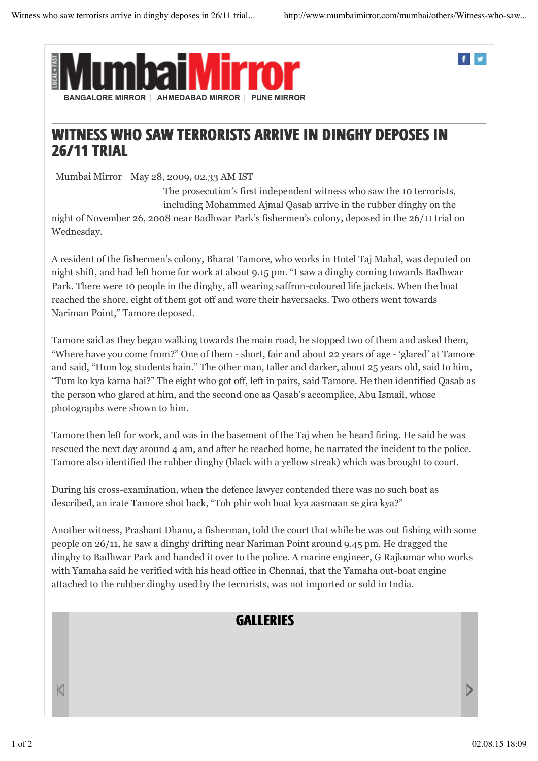f v



## WITNESS WHO SAW TERRORISTS ARRIVE IN DINGHY DEPOSES IN 26/11 TRIAL

Mumbai Mirror | May 28, 2009, 02.33 AM IST

The prosecution's first independent witness who saw the 10 terrorists, including Mohammed Ajmal Qasab arrive in the rubber dinghy on the night of November 26, 2008 near Badhwar Park's fishermen's colony, deposed in the 26/11 trial on Wednesday.

A resident of the fishermen's colony, Bharat Tamore, who works in Hotel Taj Mahal, was deputed on night shift, and had left home for work at about 9.15 pm. "I saw a dinghy coming towards Badhwar Park. There were 10 people in the dinghy, all wearing saffron-coloured life jackets. When the boat reached the shore, eight of them got off and wore their haversacks. Two others went towards Nariman Point," Tamore deposed.

Tamore said as they began walking towards the main road, he stopped two of them and asked them, "Where have you come from?" One of them - short, fair and about 22 years of age - 'glared' at Tamore and said, "Hum log students hain." The other man, taller and darker, about 25 years old, said to him, "Tum ko kya karna hai?" The eight who got off, left in pairs, said Tamore. He then identified Qasab as the person who glared at him, and the second one as Qasab's accomplice, Abu Ismail, whose photographs were shown to him.

Tamore then left for work, and was in the basement of the Taj when he heard firing. He said he was rescued the next day around 4 am, and after he reached home, he narrated the incident to the police. Tamore also identified the rubber dinghy (black with a yellow streak) which was brought to court.

During his cross-examination, when the defence lawyer contended there was no such boat as described, an irate Tamore shot back, "Toh phir woh boat kya aasmaan se gira kya?"

Another witness, Prashant Dhanu, a fisherman, told the court that while he was out fishing with some people on 26/11, he saw a dinghy drifting near Nariman Point around 9.45 pm. He dragged the dinghy to Badhwar Park and handed it over to the police. A marine engineer, G Rajkumar who works with Yamaha said he verified with his head office in Chennai, that the Yamaha out-boat engine attached to the rubber dinghy used by the terrorists, was not imported or sold in India.

## **GALLERIES**

K

 $\overline{ }$